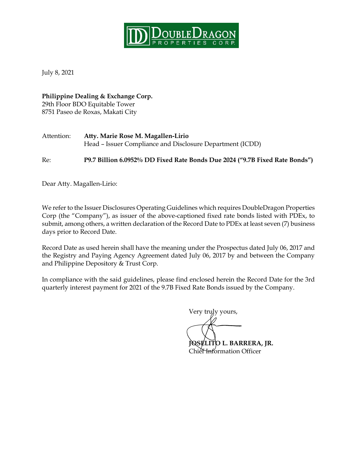

July 8, 2021

**Philippine Dealing & Exchange Corp.** 29th Floor BDO Equitable Tower 8751 Paseo de Roxas, Makati City

| Attention: | Atty. Marie Rose M. Magallen-Lirio                        |  |
|------------|-----------------------------------------------------------|--|
|            | Head – Issuer Compliance and Disclosure Department (ICDD) |  |

Re: **P9.7 Billion 6.0952% DD Fixed Rate Bonds Due 2024 ("9.7B Fixed Rate Bonds")**

Dear Atty. Magallen-Lirio:

We refer to the Issuer Disclosures Operating Guidelines which requires DoubleDragon Properties Corp (the "Company"), as issuer of the above-captioned fixed rate bonds listed with PDEx, to submit, among others, a written declaration of the Record Date to PDEx at least seven (7) business days prior to Record Date.

Record Date as used herein shall have the meaning under the Prospectus dated July 06, 2017 and the Registry and Paying Agency Agreement dated July 06, 2017 by and between the Company and Philippine Depository & Trust Corp.

In compliance with the said guidelines, please find enclosed herein the Record Date for the 3rd quarterly interest payment for 2021 of the 9.7B Fixed Rate Bonds issued by the Company.

Very truly yours, **JOSELITO L. BARRERA, JR.**

Chief Information Officer